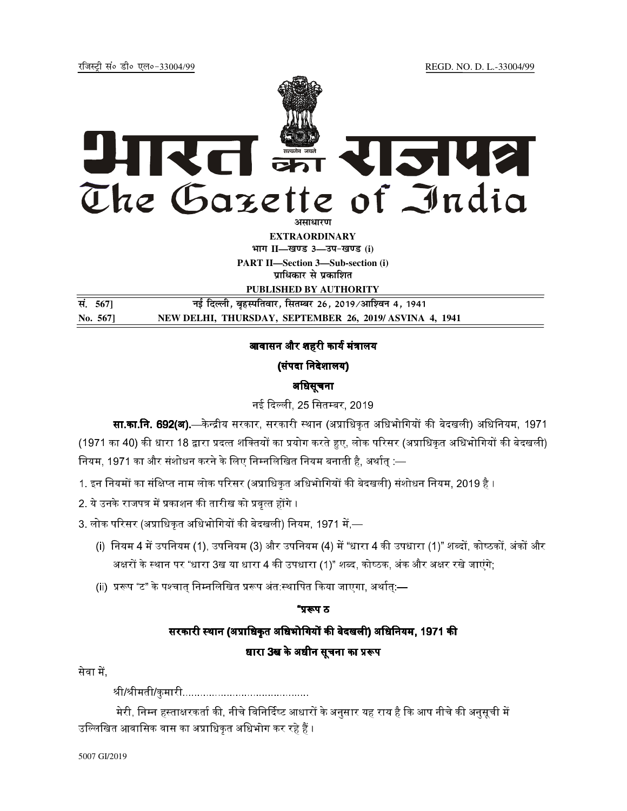रजिस्ट्री सं० डी० एल०-33004/99

# रित इन राजपत्र The Gazette of India अमाधारण

**EXTRAORDINARY** भाग II-खण्ड 3-उप-खण्ड (i) **PART II-Section 3-Sub-section (i)** प्राधिकार से प्रकाशित

PUBLISHED BY AUTHORITY

सं. 567] नई दिल्ली, बृहस्पतिवार, सितम्बर 26, 2019/आश्विन 4, 1941 No. 567] NEW DELHI, THURSDAY, SEPTEMBER 26, 2019/ASVINA 4, 1941

# आवासन और शहरी कार्य मंत्रालय

# (संपदा निदेशालय)

# अधिसूचना

# नई दिल्ली, 25 सितम्बर, 2019

**सा.का.नि. 692(अ).**—केन्द्रीय सरकार, सरकारी स्थान (अप्राधिकृत अधिभोगियों की बेदखली) अधिनियम, 1971 (1971 का 40) की धारा 18 द्वारा प्रदत्त शक्तियों का प्रयोग करते हुए, लोक परिसर (अप्राधिकृत अधिभोगियों की बेदखली) नियम, 1971 का और संशोधन करने के लिए निम्नलिखित नियम बनाती है, अर्थात् :—

1. इन नियमों का संक्षिप्त नाम लोक परिसर (अप्राधिकृत अधिभोगियों की बेदखली) संशोधन नियम, 2019 है ।

2. ये उनके राजपत्र में प्रकाशन की तारीख को प्रवृत्त होंगे ।

3. लोक परिसर (अप्राधिकृत अधिभोगियों की बेदखली) नियम, 1971 में,—

- (i) नियम 4 में उपनियम (1), उपनियम (3) और उपनियम (4) में "धारा 4 की उपधारा (1)" शब्दों, कोष्ठकों, अंकों और अक्षरों के स्थान पर "धारा 3ख या धारा 4 की उपधारा (1)" शब्द, कोष्ठक, अंक और अक्षर रखे जाएंगे;
- (ii) प्ररूप "ट" के पश्चात् निम्नलिखित प्ररूप अंत:स्थापित किया जाएगा, अर्थात्:—

#### "प्ररूप ठ

# सरकारी स्थान (अप्राधिकृत अधिभोगियों की बेदखली) अधिनियम, 1971 की धारा 3ख के अधीन सूचना का प्ररूप

### सेवा में.

मेरी, निम्न हस्ताक्षरकर्ता की, नीचे विनिर्दिष्ट आधारों के अनुसार यह राय है कि आप नीचे की अनुसूची में उल्लिखित आवासिक वास का अप्राधिकत अधिभोग कर रहे हैं ।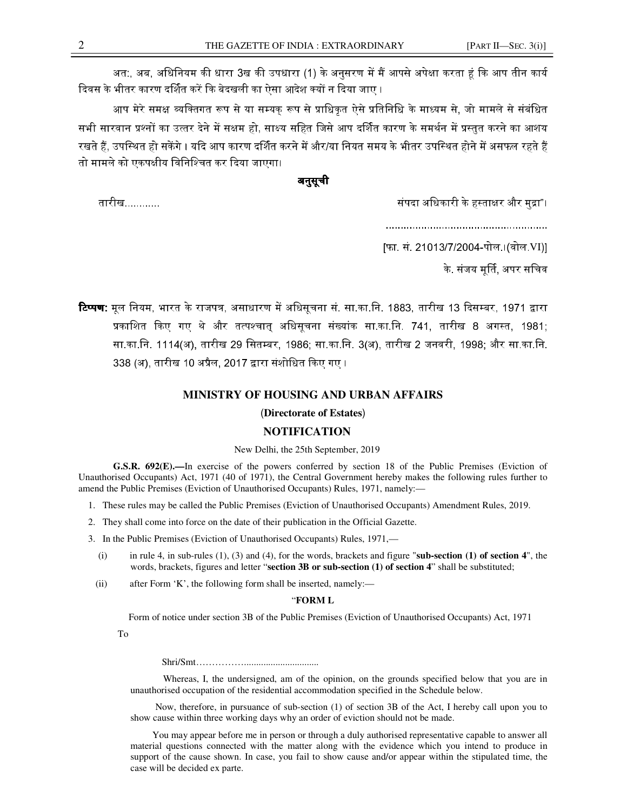अत:. अब. अधिनियम की धारा 3ख की उपधारा (1) के अनसरण में मैं आपसे अपेक्षा करता हं कि आप तीन कार्य दिवस के भीतर कारण दर्शित करें कि बेदखली का ऐसा आदेश क्यों न दिया जाए ।

आप मेरे समक्ष व्यक्तिगत रूप से या सम्यक रूप से प्राधिकत ऐसे प्रतिनिधि के माध्यम से. जो मामले से संबंधित सभी सारवान प्रश्नों का उत्तर देने में सक्षम हो. साक्ष्य सहित जिसे आप दर्शित कारण के समर्थन में प्रस्तत करने का आशय रखते हैं. उपस्थित हो सकेंगे । यदि आप कारण दर्शित करने में और/या नियत समय के भीतर उपस्थित होने में असफल रहते हैं तो मामले को एकपक्षीय विनिश्चित कर दिया जाएगा।

#### अनुसूची

संपदा अधिकारी के हस्ताक्षर और मुद्रा"।

.......................................................

[फा. सं. 21013/7/2004-पोल.।(वोल.VI)]

के. संजय मर्ति. अपर सचिव

**टिप्पण:** मल नियम, भारत के राजपत्र, असाधारण में अधिसचना सं. सा.का.नि. 1883, तारीख 13 दिसम्बर, 1971 द्वारा प्रकाशित किए गए थे और तत्पश्चात अधिसचना संख्यांक सा.का.नि. 741. तारीख 8 अगस्त. 1981: सा.का.नि. 1114(अ), तारीख 29 सितम्बर, 1986; सा.का.नि. 3(अ), तारीख 2 जनवरी, 1998; और सा.का.नि. 338 (अ), तारीख 10 अप्रैल, 2017 द्वारा संशोधित किए गए । .

#### **MINISTRY OF HOUSING AND URBAN AFFAIRS**

#### (**Directorate of Estates**)

#### **NOTIFICATION**

#### New Delhi, the 25th September, 2019

 **G.S.R. 692(E).—**In exercise of the powers conferred by section 18 of the Public Premises (Eviction of Unauthorised Occupants) Act, 1971 (40 of 1971), the Central Government hereby makes the following rules further to amend the Public Premises (Eviction of Unauthorised Occupants) Rules, 1971, namely:—

- 1. These rules may be called the Public Premises (Eviction of Unauthorised Occupants) Amendment Rules, 2019.
- 2. They shall come into force on the date of their publication in the Official Gazette.
- 3. In the Public Premises (Eviction of Unauthorised Occupants) Rules, 1971,—
	- (i) in rule 4, in sub-rules (1), (3) and (4), for the words, brackets and figure "**sub-section (1) of section 4**", the words, brackets, figures and letter "**section 3B or sub-section (1) of section 4**" shall be substituted;
	- (ii) after Form 'K', the following form shall be inserted, namely:—

#### "**FORM L**

Form of notice under section 3B of the Public Premises (Eviction of Unauthorised Occupants) Act, 1971

To

Shri/Smt……………...............................

 Whereas, I, the undersigned, am of the opinion, on the grounds specified below that you are in unauthorised occupation of the residential accommodation specified in the Schedule below.

 Now, therefore, in pursuance of sub-section (1) of section 3B of the Act, I hereby call upon you to show cause within three working days why an order of eviction should not be made.

 You may appear before me in person or through a duly authorised representative capable to answer all material questions connected with the matter along with the evidence which you intend to produce in support of the cause shown. In case, you fail to show cause and/or appear within the stipulated time, the case will be decided ex parte.

तारीख............